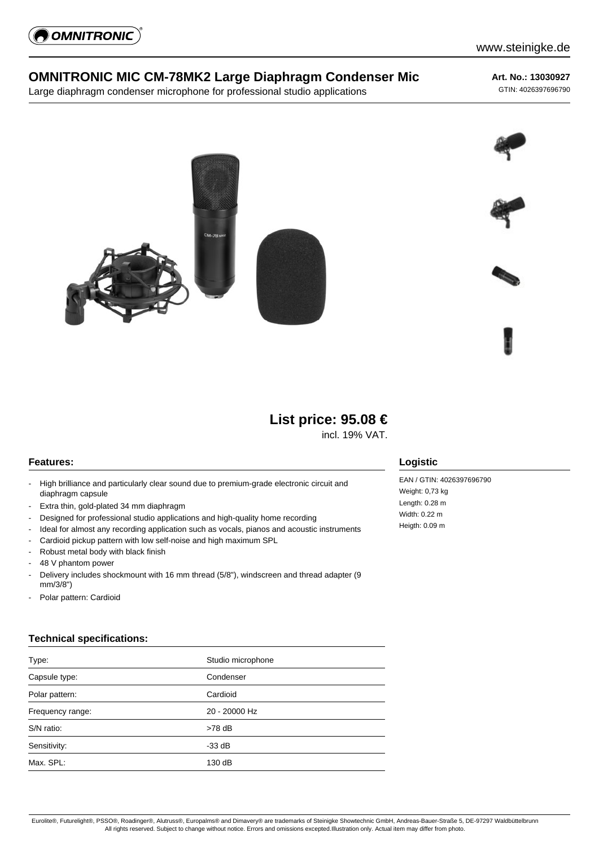

## **OMNITRONIC MIC CM-78MK2 Large Diaphragm Condenser Mic**

Large diaphragm condenser microphone for professional studio applications

# **Art. No.: 13030927**

GTIN: 4026397696790





incl. 19% VAT.

### **Features:**

- High brilliance and particularly clear sound due to premium-grade electronic circuit and diaphragm capsule
- Extra thin, gold-plated 34 mm diaphragm
- Designed for professional studio applications and high-quality home recording
- Ideal for almost any recording application such as vocals, pianos and acoustic instruments
- Cardioid pickup pattern with low self-noise and high maximum SPL
- Robust metal body with black finish
- 48 V phantom power
- Delivery includes shockmount with 16 mm thread (5/8"), windscreen and thread adapter (9 mm/3/8")
- Polar pattern: Cardioid

#### **Technical specifications:**

| Type:            | Studio microphone |
|------------------|-------------------|
| Capsule type:    | Condenser         |
| Polar pattern:   | Cardioid          |
| Frequency range: | 20 - 20000 Hz     |
| S/N ratio:       | $>78$ dB          |
| Sensitivity:     | $-33$ dB          |
| Max. SPL:        | 130 dB            |

### **Logistic**

EAN / GTIN: 4026397696790 Weight: 0,73 kg Length: 0.28 m Width: 0.22 m Heigth: 0.09 m